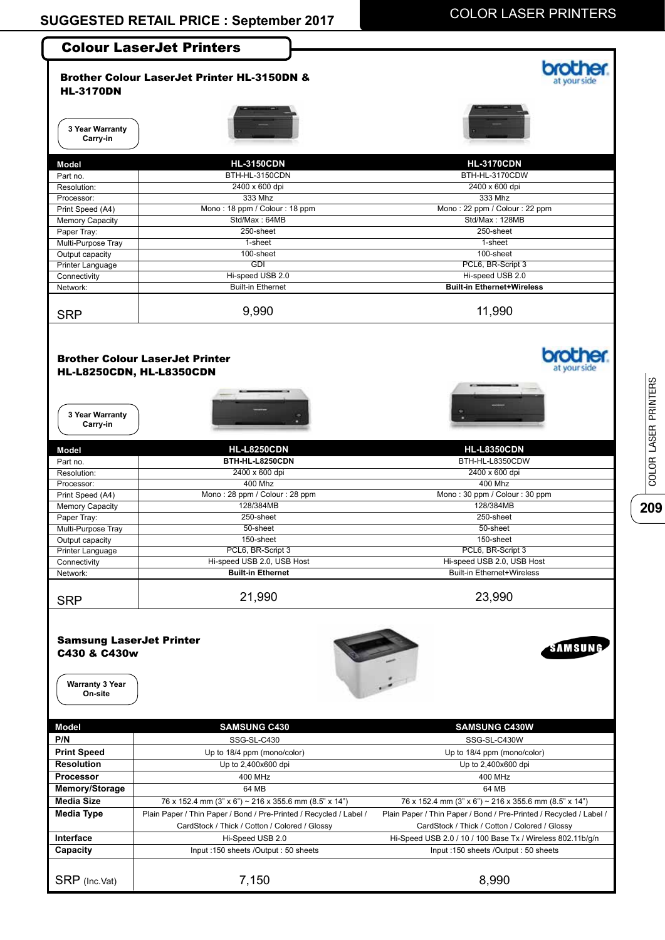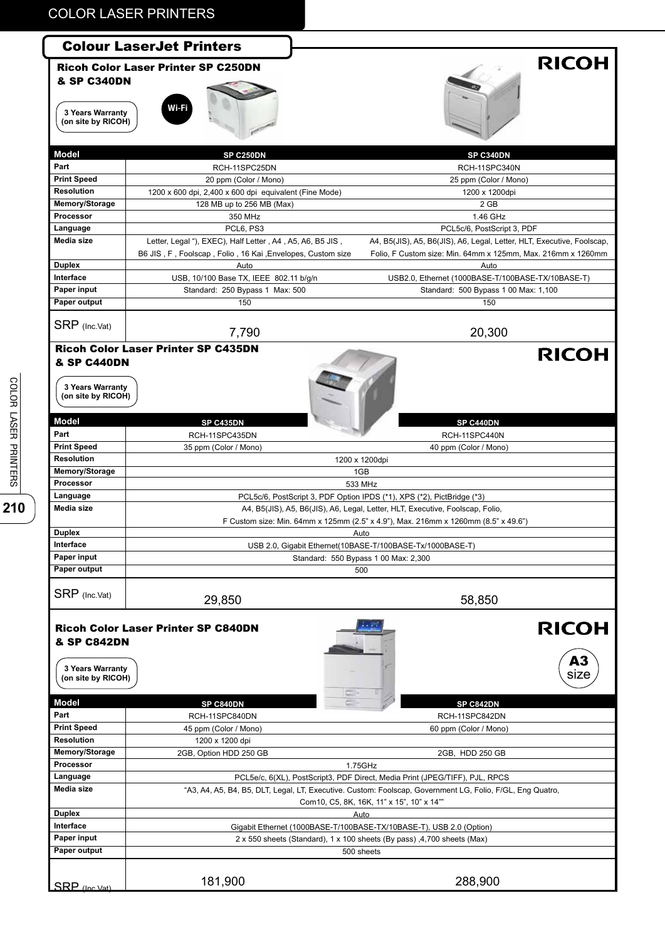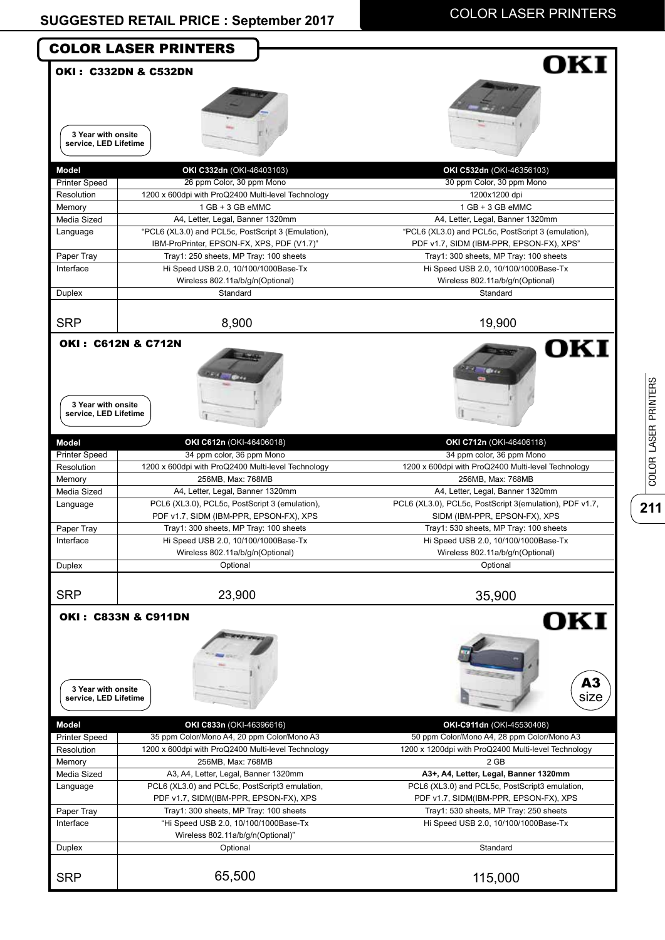**211**

COLOR LASER PRINTERS

COLOR LASER PRINTERS

|                                             | <b>COLOR LASER PRINTERS</b>                                                     | OKI                                                     |
|---------------------------------------------|---------------------------------------------------------------------------------|---------------------------------------------------------|
| <b>OKI: C332DN &amp; C532DN</b>             |                                                                                 |                                                         |
|                                             |                                                                                 |                                                         |
|                                             |                                                                                 |                                                         |
| 3 Year with onsite<br>service, LED Lifetime |                                                                                 |                                                         |
|                                             |                                                                                 |                                                         |
| <b>Model</b>                                | OKI C332dn (OKI-46403103)                                                       | OKI C532dn (OKI-46356103)<br>30 ppm Color, 30 ppm Mono  |
| <b>Printer Speed</b><br>Resolution          | 26 ppm Color, 30 ppm Mono<br>1200 x 600dpi with ProQ2400 Multi-level Technology | 1200x1200 dpi                                           |
| Memory                                      | $1 GB + 3 GB$ eMMC                                                              | 1 GB + 3 GB eMMC                                        |
| Media Sized                                 | A4, Letter, Legal, Banner 1320mm                                                | A4, Letter, Legal, Banner 1320mm                        |
| Language                                    | "PCL6 (XL3.0) and PCL5c, PostScript 3 (Emulation),                              | "PCL6 (XL3.0) and PCL5c, PostScript 3 (emulation),      |
|                                             | IBM-ProPrinter, EPSON-FX, XPS, PDF (V1.7)"                                      | PDF v1.7, SIDM (IBM-PPR, EPSON-FX), XPS"                |
| Paper Tray                                  | Tray1: 250 sheets, MP Tray: 100 sheets                                          | Tray1: 300 sheets, MP Tray: 100 sheets                  |
| Interface                                   | Hi Speed USB 2.0, 10/100/1000Base-Tx                                            | Hi Speed USB 2.0, 10/100/1000Base-Tx                    |
|                                             | Wireless 802.11a/b/g/n(Optional)                                                | Wireless 802.11a/b/g/n(Optional)                        |
| Duplex                                      | Standard                                                                        | Standard                                                |
| <b>SRP</b>                                  | 8,900                                                                           | 19,900                                                  |
| <b>OKI: C612N &amp; C712N</b>               |                                                                                 |                                                         |
|                                             |                                                                                 | OKI                                                     |
|                                             |                                                                                 |                                                         |
|                                             |                                                                                 | œ.                                                      |
|                                             |                                                                                 |                                                         |
| 3 Year with onsite                          |                                                                                 |                                                         |
| service, LED Lifetime                       |                                                                                 |                                                         |
|                                             |                                                                                 |                                                         |
| Model<br><b>Printer Speed</b>               | OKI C612n (OKI-46406018)<br>34 ppm color, 36 ppm Mono                           | OKI C712n (OKI-46406118)<br>34 ppm color, 36 ppm Mono   |
| Resolution                                  | 1200 x 600dpi with ProQ2400 Multi-level Technology                              | 1200 x 600dpi with ProQ2400 Multi-level Technology      |
| Memory                                      | 256MB, Max: 768MB                                                               | 256MB, Max: 768MB                                       |
| Media Sized                                 | A4, Letter, Legal, Banner 1320mm                                                | A4, Letter, Legal, Banner 1320mm                        |
| Language                                    | PCL6 (XL3.0), PCL5c, PostScript 3 (emulation),                                  | PCL6 (XL3.0), PCL5c, PostScript 3(emulation), PDF v1.7, |
|                                             | PDF v1.7, SIDM (IBM-PPR, EPSON-FX), XPS                                         | SIDM (IBM-PPR, EPSON-FX), XPS                           |
| Paper Tray                                  | Tray1: 300 sheets, MP Tray: 100 sheets                                          | Tray1: 530 sheets, MP Tray: 100 sheets                  |
| Interface                                   | Hi Speed USB 2.0, 10/100/1000Base-Tx                                            | Hi Speed USB 2.0, 10/100/1000Base-Tx                    |
|                                             | Wireless 802.11a/b/g/n(Optional)                                                | Wireless 802.11a/b/g/n(Optional)                        |
| Duplex                                      | Optional                                                                        | Optional                                                |
| <b>SRP</b>                                  | 23,900                                                                          | 35,900                                                  |
| OKI: C833N & C911DN                         |                                                                                 | OKI                                                     |
|                                             |                                                                                 |                                                         |
|                                             |                                                                                 |                                                         |
|                                             |                                                                                 |                                                         |
|                                             |                                                                                 |                                                         |
| 3 Year with onsite                          |                                                                                 | A3                                                      |
| service, LED Lifetime                       |                                                                                 | size                                                    |
|                                             |                                                                                 |                                                         |
| <b>Model</b>                                | OKI C833n (OKI-46396616)                                                        | OKI-C911dn (OKI-45530408)                               |
| <b>Printer Speed</b>                        | 35 ppm Color/Mono A4, 20 ppm Color/Mono A3                                      | 50 ppm Color/Mono A4, 28 ppm Color/Mono A3              |
| Resolution                                  | 1200 x 600dpi with ProQ2400 Multi-level Technology                              | 1200 x 1200dpi with ProQ2400 Multi-level Technology     |
| Memory                                      | 256MB, Max: 768MB                                                               | 2 GB                                                    |
| Media Sized                                 | A3, A4, Letter, Legal, Banner 1320mm                                            | A3+, A4, Letter, Legal, Banner 1320mm                   |
| Language                                    | PCL6 (XL3.0) and PCL5c, PostScript3 emulation,                                  | PCL6 (XL3.0) and PCL5c, PostScript3 emulation,          |
|                                             | PDF v1.7, SIDM(IBM-PPR, EPSON-FX), XPS                                          | PDF v1.7, SIDM(IBM-PPR, EPSON-FX), XPS                  |
| Paper Tray                                  | Tray1: 300 sheets, MP Tray: 100 sheets                                          | Tray1: 530 sheets, MP Tray: 250 sheets                  |
| Interface                                   | "Hi Speed USB 2.0, 10/100/1000Base-Tx                                           | Hi Speed USB 2.0, 10/100/1000Base-Tx                    |
|                                             | Wireless 802.11a/b/g/n(Optional)"                                               | Standard                                                |
|                                             |                                                                                 |                                                         |
|                                             | Optional                                                                        |                                                         |
| Duplex<br><b>SRP</b>                        | 65,500                                                                          | 115,000                                                 |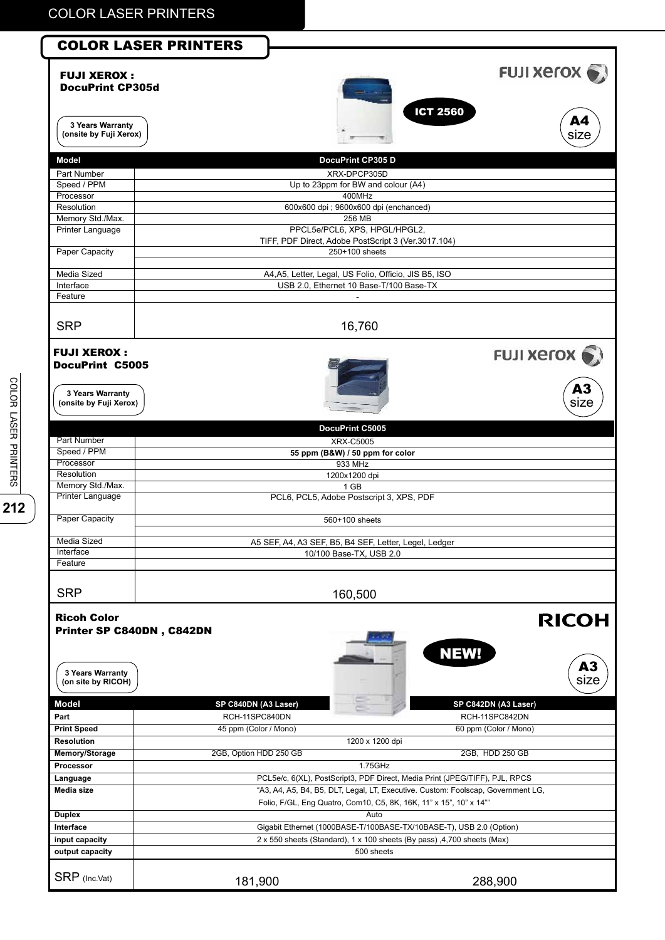| <b>COLOR LASER PRINTERS</b>                     |                        |                                                                                      |                               |
|-------------------------------------------------|------------------------|--------------------------------------------------------------------------------------|-------------------------------|
| <b>FUJI XEROX:</b><br><b>DocuPrint CP305d</b>   |                        |                                                                                      | <b>FUJI XETOX</b>             |
| 3 Years Warranty<br>(onsite by Fuji Xerox)      |                        |                                                                                      | <b>ICT 2560</b><br>A4<br>size |
|                                                 |                        |                                                                                      |                               |
| <b>Model</b>                                    |                        | DocuPrint CP305 D                                                                    |                               |
| Part Number                                     |                        | XRX-DPCP305D                                                                         |                               |
| Speed / PPM<br>Processor                        |                        | Up to 23ppm for BW and colour (A4)<br>400MHz                                         |                               |
| Resolution                                      |                        | 600x600 dpi ; 9600x600 dpi (enchanced)                                               |                               |
| Memory Std./Max.                                |                        | 256 MB                                                                               |                               |
| <b>Printer Language</b>                         |                        | PPCL5e/PCL6, XPS, HPGL/HPGL2,<br>TIFF, PDF Direct, Adobe PostScript 3 (Ver.3017.104) |                               |
| <b>Paper Capacity</b>                           |                        | 250+100 sheets                                                                       |                               |
| Media Sized                                     |                        | A4, A5, Letter, Legal, US Folio, Officio, JIS B5, ISO                                |                               |
| Interface                                       |                        | USB 2.0, Ethernet 10 Base-T/100 Base-TX                                              |                               |
| Feature                                         |                        |                                                                                      |                               |
| <b>SRP</b>                                      |                        | 16,760                                                                               |                               |
| <b>FUJI XEROX:</b><br><b>DocuPrint C5005</b>    |                        |                                                                                      | <b>FUJI XEroX</b>             |
| 3 Years Warranty<br>(onsite by Fuji Xerox)      |                        |                                                                                      | A3<br>size                    |
|                                                 |                        | DocuPrint C5005                                                                      |                               |
| Part Number                                     |                        | <b>XRX-C5005</b>                                                                     |                               |
| Speed / PPM                                     |                        | 55 ppm (B&W) / 50 ppm for color                                                      |                               |
| Processor                                       |                        | 933 MHz                                                                              |                               |
| Resolution<br>Memory Std./Max.                  |                        | 1200x1200 dpi                                                                        |                               |
| <b>Printer Language</b>                         |                        | 1 GB<br>PCL6, PCL5, Adobe Postscript 3, XPS, PDF                                     |                               |
| Paper Capacity                                  |                        | 560+100 sheets                                                                       |                               |
| Media Sized                                     |                        | A5 SEF, A4, A3 SEF, B5, B4 SEF, Letter, Legel, Ledger                                |                               |
| Interface                                       |                        | 10/100 Base-TX, USB 2.0                                                              |                               |
| Feature                                         |                        |                                                                                      |                               |
| <b>SRP</b>                                      |                        | 160,500                                                                              |                               |
| <b>Ricoh Color</b><br>Printer SP C840DN, C842DN |                        |                                                                                      | <b>RICOH</b><br><b>NEW!</b>   |
| <b>3 Years Warranty</b><br>(on site by RICOH)   |                        |                                                                                      | A3<br>size                    |
| <b>Model</b>                                    | SP C840DN (A3 Laser)   |                                                                                      | SP C842DN (A3 Laser)          |
| Part                                            | RCH-11SPC840DN         |                                                                                      | RCH-11SPC842DN                |
| <b>Print Speed</b>                              | 45 ppm (Color / Mono)  |                                                                                      | 60 ppm (Color / Mono)         |
| <b>Resolution</b>                               |                        | 1200 x 1200 dpi                                                                      |                               |
| Memory/Storage<br>Processor                     | 2GB, Option HDD 250 GB | 1.75GHz                                                                              | 2GB, HDD 250 GB               |
| Language                                        |                        | PCL5e/c, 6(XL), PostScript3, PDF Direct, Media Print (JPEG/TIFF), PJL, RPCS          |                               |
| Media size                                      |                        | "A3, A4, A5, B4, B5, DLT, Legal, LT, Executive. Custom: Foolscap, Government LG,     |                               |
|                                                 |                        | Folio, F/GL, Eng Quatro, Com10, C5, 8K, 16K, 11" x 15", 10" x 14""                   |                               |
| <b>Duplex</b>                                   |                        | Auto                                                                                 |                               |
| Interface                                       |                        | Gigabit Ethernet (1000BASE-T/100BASE-TX/10BASE-T), USB 2.0 (Option)                  |                               |
| input capacity                                  |                        | 2 x 550 sheets (Standard), 1 x 100 sheets (By pass), 4, 700 sheets (Max)             |                               |
| output capacity                                 |                        | 500 sheets                                                                           |                               |
| SRP (Inc.Vat)                                   | 181,900                |                                                                                      | 288,900                       |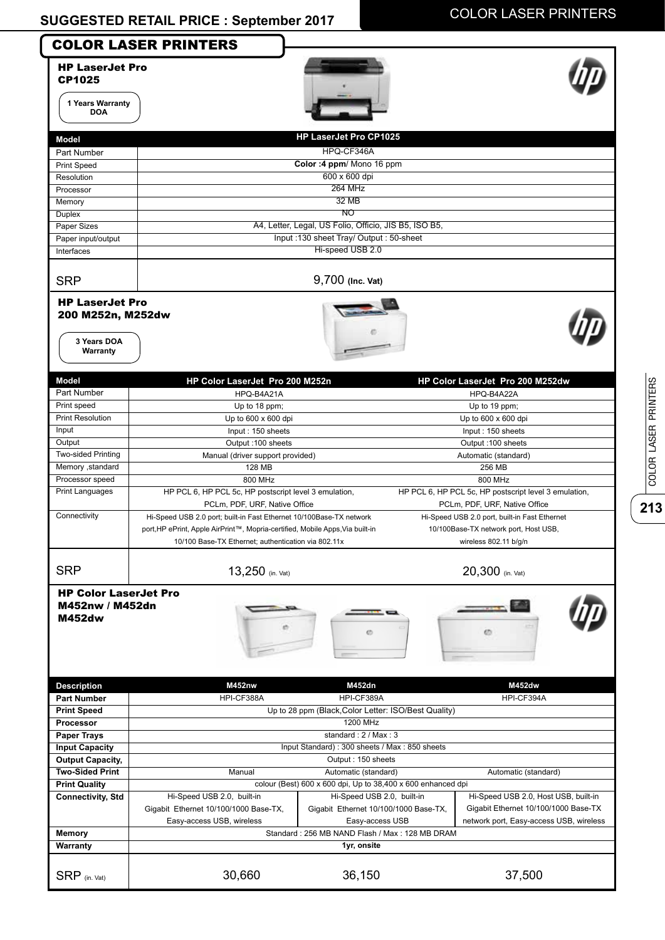|                                                                                        | <b>COLOR LASER PRINTERS</b>                                                                                                                                                                                 |                                                              |                                                                                                                 |
|----------------------------------------------------------------------------------------|-------------------------------------------------------------------------------------------------------------------------------------------------------------------------------------------------------------|--------------------------------------------------------------|-----------------------------------------------------------------------------------------------------------------|
| <b>HP LaserJet Pro</b><br><b>CP1025</b><br>1 Years Warranty<br><b>DOA</b>              |                                                                                                                                                                                                             |                                                              |                                                                                                                 |
|                                                                                        |                                                                                                                                                                                                             | <b>HP LaserJet Pro CP1025</b>                                |                                                                                                                 |
| Model                                                                                  |                                                                                                                                                                                                             |                                                              |                                                                                                                 |
| Part Number                                                                            |                                                                                                                                                                                                             | HPQ-CF346A                                                   |                                                                                                                 |
| <b>Print Speed</b>                                                                     |                                                                                                                                                                                                             | Color: 4 ppm/ Mono 16 ppm<br>600 x 600 dpi                   |                                                                                                                 |
| Resolution                                                                             |                                                                                                                                                                                                             | <b>264 MHz</b>                                               |                                                                                                                 |
| Processor                                                                              |                                                                                                                                                                                                             | 32 MB                                                        |                                                                                                                 |
| Memory                                                                                 |                                                                                                                                                                                                             | NO                                                           |                                                                                                                 |
| Duplex<br>Paper Sizes                                                                  |                                                                                                                                                                                                             | A4, Letter, Legal, US Folio, Officio, JIS B5, ISO B5,        |                                                                                                                 |
| Paper input/output                                                                     |                                                                                                                                                                                                             | Input:130 sheet Tray/ Output: 50-sheet                       |                                                                                                                 |
| Interfaces                                                                             |                                                                                                                                                                                                             | Hi-speed USB 2.0                                             |                                                                                                                 |
|                                                                                        |                                                                                                                                                                                                             |                                                              |                                                                                                                 |
| <b>SRP</b>                                                                             |                                                                                                                                                                                                             | 9,700 (Inc. Vat)                                             |                                                                                                                 |
| 200 M252n, M252dw<br>3 Years DOA<br>Warranty                                           |                                                                                                                                                                                                             |                                                              |                                                                                                                 |
| Model                                                                                  | HP Color LaserJet Pro 200 M252n                                                                                                                                                                             |                                                              | HP Color LaserJet Pro 200 M252dw                                                                                |
| Part Number                                                                            | HPQ-B4A21A                                                                                                                                                                                                  |                                                              | HPQ-B4A22A                                                                                                      |
| Print speed                                                                            | Up to 18 ppm;                                                                                                                                                                                               |                                                              | Up to 19 ppm;                                                                                                   |
| <b>Print Resolution</b>                                                                | Up to $600 \times 600$ dpi                                                                                                                                                                                  |                                                              | Up to $600 \times 600$ dpi                                                                                      |
| Input                                                                                  | Input: 150 sheets                                                                                                                                                                                           |                                                              | Input: 150 sheets                                                                                               |
| Output                                                                                 | Output: 100 sheets                                                                                                                                                                                          |                                                              | Output: 100 sheets                                                                                              |
| Two-sided Printing                                                                     | Manual (driver support provided)                                                                                                                                                                            |                                                              | Automatic (standard)                                                                                            |
| Memory , standard<br>Processor speed                                                   | 128 MB                                                                                                                                                                                                      |                                                              | 256 MB                                                                                                          |
| <b>Print Languages</b>                                                                 | 800 MHz<br>HP PCL 6, HP PCL 5c, HP postscript level 3 emulation,                                                                                                                                            |                                                              | 800 MHz<br>HP PCL 6, HP PCL 5c, HP postscript level 3 emulation,                                                |
|                                                                                        | PCLm, PDF, URF, Native Office                                                                                                                                                                               |                                                              | PCLm, PDF, URF, Native Office                                                                                   |
| Connectivity                                                                           | Hi-Speed USB 2.0 port; built-in Fast Ethernet 10/100Base-TX network<br>port, HP ePrint, Apple AirPrint™, Mopria-certified, Mobile Apps, Via built-in<br>10/100 Base-TX Ethernet; authentication via 802.11x |                                                              | Hi-Speed USB 2.0 port, built-in Fast Ethernet<br>10/100Base-TX network port, Host USB,<br>wireless 802.11 b/g/n |
| <b>SRP</b>                                                                             | 13,250 (in. Vat)                                                                                                                                                                                            |                                                              | 20,300 (in. Vat)                                                                                                |
| <b>HP Color LaserJet Pro</b><br>M452nw / M452dn<br><b>M452dw</b><br><b>Description</b> | <b>M452nw</b>                                                                                                                                                                                               | εħ<br><b>M452dn</b>                                          | Ø<br>M452dw                                                                                                     |
| <b>Part Number</b>                                                                     | HPI-CF388A                                                                                                                                                                                                  | HPI-CF389A                                                   | HPI-CF394A                                                                                                      |
| <b>Print Speed</b>                                                                     |                                                                                                                                                                                                             | Up to 28 ppm (Black, Color Letter: ISO/Best Quality)         |                                                                                                                 |
| Processor                                                                              |                                                                                                                                                                                                             | 1200 MHz                                                     |                                                                                                                 |
| <b>Paper Trays</b>                                                                     | standard: 2 / Max: 3                                                                                                                                                                                        |                                                              |                                                                                                                 |
| <b>Input Capacity</b>                                                                  |                                                                                                                                                                                                             | Input Standard): 300 sheets / Max: 850 sheets                |                                                                                                                 |
| <b>Output Capacity,</b>                                                                |                                                                                                                                                                                                             | Output: 150 sheets                                           |                                                                                                                 |
| <b>Two-Sided Print</b>                                                                 | Manual<br>Automatic (standard)<br>Automatic (standard)                                                                                                                                                      |                                                              |                                                                                                                 |
| <b>Print Quality</b>                                                                   |                                                                                                                                                                                                             | colour (Best) 600 x 600 dpi, Up to 38,400 x 600 enhanced dpi |                                                                                                                 |
| <b>Connectivity, Std</b>                                                               | Hi-Speed USB 2.0, built-in                                                                                                                                                                                  | Hi-Speed USB 2.0, built-in                                   | Hi-Speed USB 2.0, Host USB, built-in                                                                            |
|                                                                                        | Gigabit Ethernet 10/100/1000 Base-TX,                                                                                                                                                                       | Gigabit Ethernet 10/100/1000 Base-TX,                        | Gigabit Ethernet 10/100/1000 Base-TX                                                                            |
|                                                                                        | Easy-access USB, wireless                                                                                                                                                                                   | Easy-access USB                                              | network port, Easy-access USB, wireless                                                                         |
|                                                                                        |                                                                                                                                                                                                             | Standard: 256 MB NAND Flash / Max: 128 MB DRAM               |                                                                                                                 |
| Memory                                                                                 |                                                                                                                                                                                                             |                                                              |                                                                                                                 |
| Warranty                                                                               |                                                                                                                                                                                                             | 1yr, onsite                                                  |                                                                                                                 |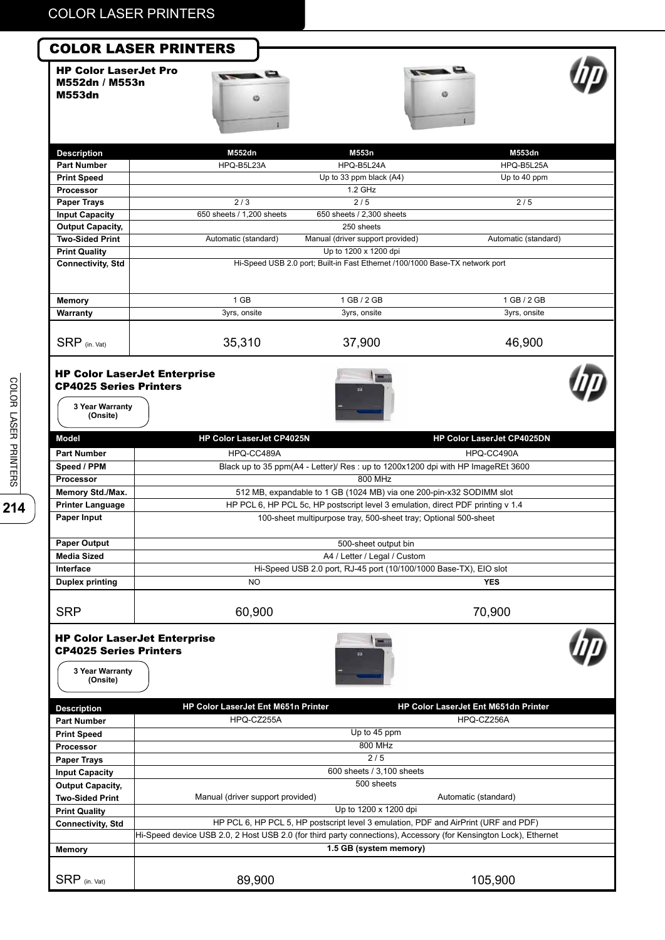HP Color LaserJet Pro M552dn / M553n M553dn







| <b>Description</b>       | M552dn                    | M553n                                                                        | M553dn               |  |
|--------------------------|---------------------------|------------------------------------------------------------------------------|----------------------|--|
| <b>Part Number</b>       | HPQ-B5L23A                | HPQ-B5L24A                                                                   | HPQ-B5L25A           |  |
| <b>Print Speed</b>       |                           | Up to 33 ppm black $(A4)$                                                    | Up to 40 ppm         |  |
| Processor                |                           | $1.2$ GHz                                                                    |                      |  |
| <b>Paper Trays</b>       | 2/3                       | 2/5                                                                          | 2/5                  |  |
| <b>Input Capacity</b>    | 650 sheets / 1,200 sheets | 650 sheets / 2,300 sheets                                                    |                      |  |
| <b>Output Capacity,</b>  |                           | 250 sheets                                                                   |                      |  |
| <b>Two-Sided Print</b>   | Automatic (standard)      | Manual (driver support provided)                                             | Automatic (standard) |  |
| <b>Print Quality</b>     |                           | Up to 1200 x 1200 dpi                                                        |                      |  |
| <b>Connectivity, Std</b> |                           | Hi-Speed USB 2.0 port; Built-in Fast Ethernet /100/1000 Base-TX network port |                      |  |
|                          |                           |                                                                              |                      |  |
| <b>Memory</b>            | 1 GB                      | 1 GB / 2 GB                                                                  | 1 GB / 2 GB          |  |
| Warranty                 | 3yrs, onsite              | 3yrs, onsite                                                                 | 3yrs, onsite         |  |
|                          |                           |                                                                              |                      |  |
| $SRP$ (in. Vat)          | 35,310                    | 37,900                                                                       | 46,900               |  |

#### HP Color LaserJet Enterprise CP4025 Series Printers





**3 Year Warranty (Onsite)**

| <b>Part Number</b><br>HPQ-CC489A<br>HPQ-CC490A<br>Black up to 35 ppm(A4 - Letter)/ Res : up to 1200x1200 dpi with HP ImageREt 3600<br>Speed / PPM<br>800 MHz<br><b>Processor</b><br>Memory Std./Max.<br>512 MB, expandable to 1 GB (1024 MB) via one 200-pin-x32 SODIMM slot<br>HP PCL 6, HP PCL 5c, HP postscript level 3 emulation, direct PDF printing v 1.4<br><b>Printer Language</b><br>Paper Input<br>100-sheet multipurpose tray, 500-sheet tray; Optional 500-sheet<br><b>Paper Output</b><br>500-sheet output bin<br><b>Media Sized</b><br>A4 / Letter / Legal / Custom<br>Interface<br>Hi-Speed USB 2.0 port, RJ-45 port (10/100/1000 Base-TX), EIO slot<br><b>Duplex printing</b><br>NO.<br><b>YES</b><br>70,900<br><b>SRP</b><br>60,900<br><b>HP Color LaserJet Enterprise</b><br><b>CP4025 Series Printers</b><br>3 Year Warranty<br>(Onsite)<br>HP Color LaserJet Ent M651n Printer<br>HP Color LaserJet Ent M651dn Printer<br><b>Description</b><br>HPQ-CZ255A<br>HPQ-CZ256A<br><b>Part Number</b><br>Up to 45 ppm<br><b>Print Speed</b><br>800 MHz<br><b>Processor</b><br>2/5<br><b>Paper Trays</b><br>600 sheets / 3,100 sheets<br><b>Input Capacity</b><br>500 sheets<br><b>Output Capacity,</b><br>Manual (driver support provided)<br>Automatic (standard)<br><b>Two-Sided Print</b><br>Up to 1200 x 1200 dpi<br><b>Print Quality</b><br>HP PCL 6, HP PCL 5, HP postscript level 3 emulation, PDF and AirPrint (URF and PDF)<br><b>Connectivity, Std</b><br>Hi-Speed device USB 2.0, 2 Host USB 2.0 (for third party connections), Accessory (for Kensington Lock), Ethernet<br>1.5 GB (system memory)<br><b>Memory</b><br>$SRP$ (in. Vat)<br>89,900<br>105,900 | <b>Model</b> | HP Color LaserJet CP4025N | HP Color LaserJet CP4025DN |  |  |
|--------------------------------------------------------------------------------------------------------------------------------------------------------------------------------------------------------------------------------------------------------------------------------------------------------------------------------------------------------------------------------------------------------------------------------------------------------------------------------------------------------------------------------------------------------------------------------------------------------------------------------------------------------------------------------------------------------------------------------------------------------------------------------------------------------------------------------------------------------------------------------------------------------------------------------------------------------------------------------------------------------------------------------------------------------------------------------------------------------------------------------------------------------------------------------------------------------------------------------------------------------------------------------------------------------------------------------------------------------------------------------------------------------------------------------------------------------------------------------------------------------------------------------------------------------------------------------------------------------------------------------------------------------------------------------------|--------------|---------------------------|----------------------------|--|--|
|                                                                                                                                                                                                                                                                                                                                                                                                                                                                                                                                                                                                                                                                                                                                                                                                                                                                                                                                                                                                                                                                                                                                                                                                                                                                                                                                                                                                                                                                                                                                                                                                                                                                                      |              |                           |                            |  |  |
|                                                                                                                                                                                                                                                                                                                                                                                                                                                                                                                                                                                                                                                                                                                                                                                                                                                                                                                                                                                                                                                                                                                                                                                                                                                                                                                                                                                                                                                                                                                                                                                                                                                                                      |              |                           |                            |  |  |
|                                                                                                                                                                                                                                                                                                                                                                                                                                                                                                                                                                                                                                                                                                                                                                                                                                                                                                                                                                                                                                                                                                                                                                                                                                                                                                                                                                                                                                                                                                                                                                                                                                                                                      |              |                           |                            |  |  |
|                                                                                                                                                                                                                                                                                                                                                                                                                                                                                                                                                                                                                                                                                                                                                                                                                                                                                                                                                                                                                                                                                                                                                                                                                                                                                                                                                                                                                                                                                                                                                                                                                                                                                      |              |                           |                            |  |  |
|                                                                                                                                                                                                                                                                                                                                                                                                                                                                                                                                                                                                                                                                                                                                                                                                                                                                                                                                                                                                                                                                                                                                                                                                                                                                                                                                                                                                                                                                                                                                                                                                                                                                                      |              |                           |                            |  |  |
|                                                                                                                                                                                                                                                                                                                                                                                                                                                                                                                                                                                                                                                                                                                                                                                                                                                                                                                                                                                                                                                                                                                                                                                                                                                                                                                                                                                                                                                                                                                                                                                                                                                                                      |              |                           |                            |  |  |
|                                                                                                                                                                                                                                                                                                                                                                                                                                                                                                                                                                                                                                                                                                                                                                                                                                                                                                                                                                                                                                                                                                                                                                                                                                                                                                                                                                                                                                                                                                                                                                                                                                                                                      |              |                           |                            |  |  |
|                                                                                                                                                                                                                                                                                                                                                                                                                                                                                                                                                                                                                                                                                                                                                                                                                                                                                                                                                                                                                                                                                                                                                                                                                                                                                                                                                                                                                                                                                                                                                                                                                                                                                      |              |                           |                            |  |  |
|                                                                                                                                                                                                                                                                                                                                                                                                                                                                                                                                                                                                                                                                                                                                                                                                                                                                                                                                                                                                                                                                                                                                                                                                                                                                                                                                                                                                                                                                                                                                                                                                                                                                                      |              |                           |                            |  |  |
|                                                                                                                                                                                                                                                                                                                                                                                                                                                                                                                                                                                                                                                                                                                                                                                                                                                                                                                                                                                                                                                                                                                                                                                                                                                                                                                                                                                                                                                                                                                                                                                                                                                                                      |              |                           |                            |  |  |
|                                                                                                                                                                                                                                                                                                                                                                                                                                                                                                                                                                                                                                                                                                                                                                                                                                                                                                                                                                                                                                                                                                                                                                                                                                                                                                                                                                                                                                                                                                                                                                                                                                                                                      |              |                           |                            |  |  |
|                                                                                                                                                                                                                                                                                                                                                                                                                                                                                                                                                                                                                                                                                                                                                                                                                                                                                                                                                                                                                                                                                                                                                                                                                                                                                                                                                                                                                                                                                                                                                                                                                                                                                      |              |                           |                            |  |  |
|                                                                                                                                                                                                                                                                                                                                                                                                                                                                                                                                                                                                                                                                                                                                                                                                                                                                                                                                                                                                                                                                                                                                                                                                                                                                                                                                                                                                                                                                                                                                                                                                                                                                                      |              |                           |                            |  |  |
|                                                                                                                                                                                                                                                                                                                                                                                                                                                                                                                                                                                                                                                                                                                                                                                                                                                                                                                                                                                                                                                                                                                                                                                                                                                                                                                                                                                                                                                                                                                                                                                                                                                                                      |              |                           |                            |  |  |
|                                                                                                                                                                                                                                                                                                                                                                                                                                                                                                                                                                                                                                                                                                                                                                                                                                                                                                                                                                                                                                                                                                                                                                                                                                                                                                                                                                                                                                                                                                                                                                                                                                                                                      |              |                           |                            |  |  |
|                                                                                                                                                                                                                                                                                                                                                                                                                                                                                                                                                                                                                                                                                                                                                                                                                                                                                                                                                                                                                                                                                                                                                                                                                                                                                                                                                                                                                                                                                                                                                                                                                                                                                      |              |                           |                            |  |  |
|                                                                                                                                                                                                                                                                                                                                                                                                                                                                                                                                                                                                                                                                                                                                                                                                                                                                                                                                                                                                                                                                                                                                                                                                                                                                                                                                                                                                                                                                                                                                                                                                                                                                                      |              |                           |                            |  |  |
|                                                                                                                                                                                                                                                                                                                                                                                                                                                                                                                                                                                                                                                                                                                                                                                                                                                                                                                                                                                                                                                                                                                                                                                                                                                                                                                                                                                                                                                                                                                                                                                                                                                                                      |              |                           |                            |  |  |
|                                                                                                                                                                                                                                                                                                                                                                                                                                                                                                                                                                                                                                                                                                                                                                                                                                                                                                                                                                                                                                                                                                                                                                                                                                                                                                                                                                                                                                                                                                                                                                                                                                                                                      |              |                           |                            |  |  |
|                                                                                                                                                                                                                                                                                                                                                                                                                                                                                                                                                                                                                                                                                                                                                                                                                                                                                                                                                                                                                                                                                                                                                                                                                                                                                                                                                                                                                                                                                                                                                                                                                                                                                      |              |                           |                            |  |  |
|                                                                                                                                                                                                                                                                                                                                                                                                                                                                                                                                                                                                                                                                                                                                                                                                                                                                                                                                                                                                                                                                                                                                                                                                                                                                                                                                                                                                                                                                                                                                                                                                                                                                                      |              |                           |                            |  |  |
|                                                                                                                                                                                                                                                                                                                                                                                                                                                                                                                                                                                                                                                                                                                                                                                                                                                                                                                                                                                                                                                                                                                                                                                                                                                                                                                                                                                                                                                                                                                                                                                                                                                                                      |              |                           |                            |  |  |
|                                                                                                                                                                                                                                                                                                                                                                                                                                                                                                                                                                                                                                                                                                                                                                                                                                                                                                                                                                                                                                                                                                                                                                                                                                                                                                                                                                                                                                                                                                                                                                                                                                                                                      |              |                           |                            |  |  |
|                                                                                                                                                                                                                                                                                                                                                                                                                                                                                                                                                                                                                                                                                                                                                                                                                                                                                                                                                                                                                                                                                                                                                                                                                                                                                                                                                                                                                                                                                                                                                                                                                                                                                      |              |                           |                            |  |  |
|                                                                                                                                                                                                                                                                                                                                                                                                                                                                                                                                                                                                                                                                                                                                                                                                                                                                                                                                                                                                                                                                                                                                                                                                                                                                                                                                                                                                                                                                                                                                                                                                                                                                                      |              |                           |                            |  |  |